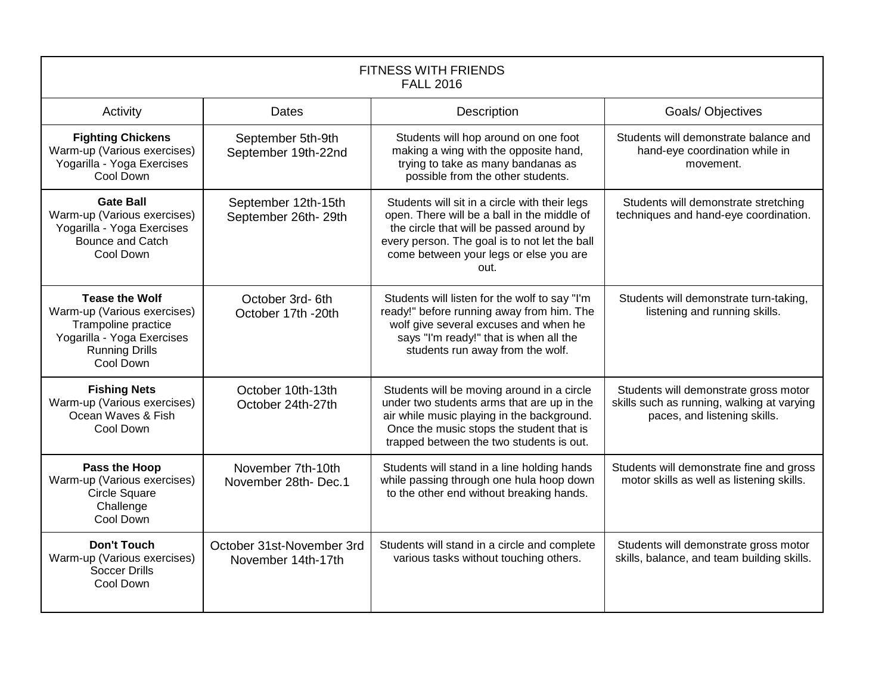| <b>FITNESS WITH FRIENDS</b><br><b>FALL 2016</b>                                                                                                 |                                                 |                                                                                                                                                                                                                                             |                                                                                                                     |
|-------------------------------------------------------------------------------------------------------------------------------------------------|-------------------------------------------------|---------------------------------------------------------------------------------------------------------------------------------------------------------------------------------------------------------------------------------------------|---------------------------------------------------------------------------------------------------------------------|
| Activity                                                                                                                                        | Dates                                           | Description                                                                                                                                                                                                                                 | <b>Goals/ Objectives</b>                                                                                            |
| <b>Fighting Chickens</b><br>Warm-up (Various exercises)<br>Yogarilla - Yoga Exercises<br>Cool Down                                              | September 5th-9th<br>September 19th-22nd        | Students will hop around on one foot<br>making a wing with the opposite hand,<br>trying to take as many bandanas as<br>possible from the other students.                                                                                    | Students will demonstrate balance and<br>hand-eye coordination while in<br>movement.                                |
| <b>Gate Ball</b><br>Warm-up (Various exercises)<br>Yogarilla - Yoga Exercises<br>Bounce and Catch<br>Cool Down                                  | September 12th-15th<br>September 26th-29th      | Students will sit in a circle with their legs<br>open. There will be a ball in the middle of<br>the circle that will be passed around by<br>every person. The goal is to not let the ball<br>come between your legs or else you are<br>out. | Students will demonstrate stretching<br>techniques and hand-eye coordination.                                       |
| <b>Tease the Wolf</b><br>Warm-up (Various exercises)<br>Trampoline practice<br>Yogarilla - Yoga Exercises<br><b>Running Drills</b><br>Cool Down | October 3rd-6th<br>October 17th -20th           | Students will listen for the wolf to say "I'm<br>ready!" before running away from him. The<br>wolf give several excuses and when he<br>says "I'm ready!" that is when all the<br>students run away from the wolf.                           | Students will demonstrate turn-taking,<br>listening and running skills.                                             |
| <b>Fishing Nets</b><br>Warm-up (Various exercises)<br>Ocean Waves & Fish<br>Cool Down                                                           | October 10th-13th<br>October 24th-27th          | Students will be moving around in a circle<br>under two students arms that are up in the<br>air while music playing in the background.<br>Once the music stops the student that is<br>trapped between the two students is out.              | Students will demonstrate gross motor<br>skills such as running, walking at varying<br>paces, and listening skills. |
| Pass the Hoop<br>Warm-up (Various exercises)<br><b>Circle Square</b><br>Challenge<br>Cool Down                                                  | November 7th-10th<br>November 28th-Dec.1        | Students will stand in a line holding hands<br>while passing through one hula hoop down<br>to the other end without breaking hands.                                                                                                         | Students will demonstrate fine and gross<br>motor skills as well as listening skills.                               |
| <b>Don't Touch</b><br>Warm-up (Various exercises)<br><b>Soccer Drills</b><br>Cool Down                                                          | October 31st-November 3rd<br>November 14th-17th | Students will stand in a circle and complete<br>various tasks without touching others.                                                                                                                                                      | Students will demonstrate gross motor<br>skills, balance, and team building skills.                                 |